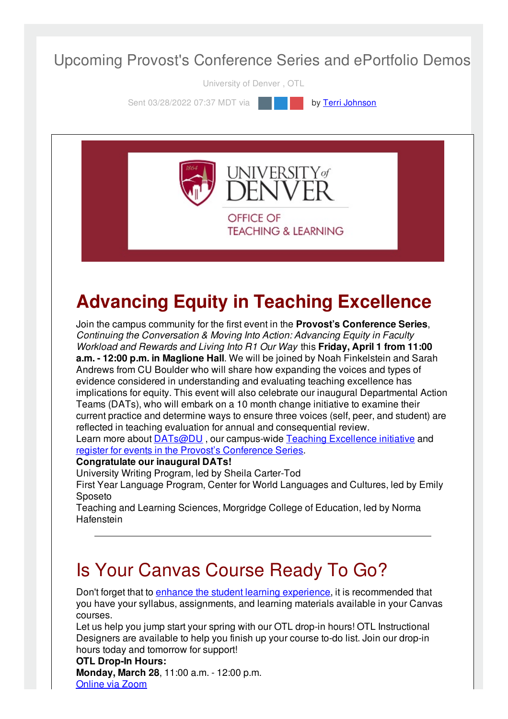#### Upcoming Provost's Conference Series and ePortfolio Demos

University of Denver , OTL

Sent 03/28/2022 07:37 MDT via **by Terri [Johnson](file:///networks/du/users/1149646)** 



# **Advancing Equity in Teaching Excellence**

Join the campus community for the first event in the **Provost's Conference Series**, *Continuing the Conversation & Moving Into Action: Advancing Equity in Faculty Workload and Rewards and Living Into R1 Our Way* this **Friday, April 1 from 11:00 a.m. - 12:00 p.m. in Maglione Hall**. We will be joined by Noah Finkelstein and Sarah Andrews from CU Boulder who will share how expanding the voices and types of evidence considered in understanding and evaluating teaching excellence has implications for equity. This event will also celebrate our inaugural Departmental Action Teams (DATs), who will embark on a 10 month change initiative to examine their current practice and determine ways to ensure three voices (self, peer, and student) are reflected in teaching evaluation for annual and consequential review.

Learn more about **[DATs@DU](https://duvpfa.du.edu/advancing-equity/teaching-excellence/dat-call-for-proposals/)**, our campus-wide Teaching [Excellence](https://duvpfa.du.edu/advancing-equity/teaching-excellence/) initiative and register for events in the Provost's [Conference](https://duvpfa.du.edu/r1-our-way/provosts-conference-series-2022/) Series.

#### **Congratulate our inaugural DATs!**

University Writing Program, led by Sheila Carter-Tod

First Year Language Program, Center for World Languages and Cultures, led by Emily Sposeto

Teaching and Learning Sciences, Morgridge College of Education, led by Norma **Hafenstein** 

## Is Your Canvas Course Ready To Go?

Don't forget that to enhance the student learning [experience](https://otl.du.edu/keep-using-canvas/), it is recommended that you have your syllabus, assignments, and learning materials available in your Canvas courses.

Let us help you jump start your spring with our OTL drop-in hours! OTL Instructional Designers are available to help you finish up your course to-do list. Join our drop-in hours today and tomorrow for support!

#### **OTL Drop-In Hours:**

**Monday, March 28**, 11:00 a.m. - 12:00 p.m. [Online](https://udenver.zoom.us/my/dutotl) via Zoom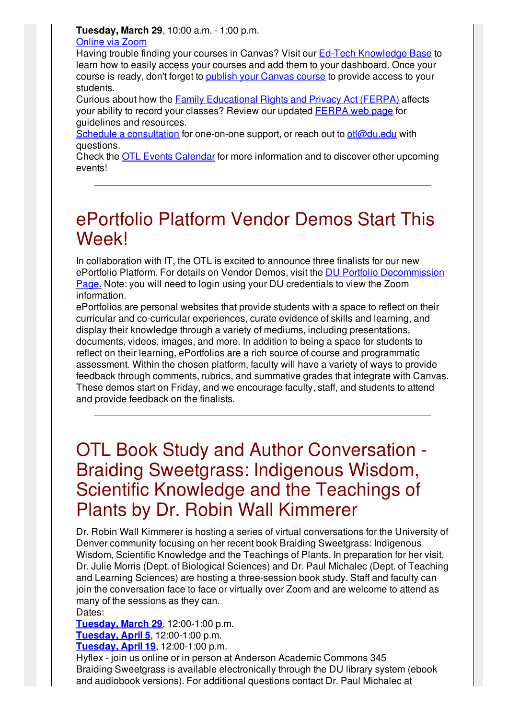**Tuesday, March 29**, 10:00 a.m. - 1:00 p.m.

#### [Online](https://udenver.zoom.us/my/dutotl) via Zoom

Having trouble finding your courses in Canvas? Visit our Ed-Tech [Knowledge](https://otl.du.edu/knowledgebase/how-do-i-view-my-upcoming-canvas-courses-as-an-instructor/) Base to learn how to easily access your courses and add them to your dashboard. Once your course is ready, don't forget to **publish your [Canvas](https://community.canvaslms.com/t5/Instructor-Guide/How-do-I-publish-a-course/ta-p/1185) course** to provide access to your students.

Curious about how the Family [Educational](https://www2.ed.gov/policy/gen/guid/fpco/ferpa/index.html) Rights and Privacy Act (FERPA) affects your ability to record your classes? Review our updated [FERPA](https://otl.du.edu/plan-a-course/teaching-resources/ferpa/) web page for guidelines and resources.

Schedule a [consultation](https://isarsgrid.du.edu/eSARS/OTL/eSARS.asp?WCI=Init&WCE=Settings) for one-on-one support, or reach out to [otl@du.edu](mailto:otl@du.edu) with questions.

Check the OTL Events [Calendar](https://otl-events.du.edu/public/calendar) for more information and to discover other upcoming events!

## ePortfolio Platform Vendor Demos Start This Week!

In collaboration with IT, the OTL is excited to announce three finalists for our new ePortfolio Platform. For details on Vendor Demos, visit the DU Portfolio [Decommission](http://portfolio.du.edu/duportfoliodecom) Page[.](http://portfolio.du.edu/duportfoliodecom) Note: you will need to login using your DU credentials to view the Zoom information.

ePortfolios are personal websites that provide students with a space to reflect on their curricular and co-curricular experiences, curate evidence of skills and learning, and display their knowledge through a variety of mediums, including presentations, documents, videos, images, and more. In addition to being a space for students to reflect on their learning, ePortfolios are a rich source of course and programmatic assessment. Within the chosen platform, faculty will have a variety of ways to provide feedback through comments, rubrics, and summative grades that integrate with Canvas. These demos start on Friday, and we encourage faculty, staff, and students to attend and provide feedback on the finalists.

## OTL Book Study and Author Conversation - Braiding Sweetgrass: Indigenous Wisdom, Scientific Knowledge and the Teachings of Plants by Dr. Robin Wall Kimmerer

Dr. Robin Wall Kimmerer is hosting a series of virtual conversations for the University of Denver community focusing on her recent book Braiding Sweetgrass: Indigenous Wisdom, Scientific Knowledge and the Teachings of Plants. In preparation for her visit, Dr. Julie Morris (Dept. of Biological Sciences) and Dr. Paul Michalec (Dept. of Teaching and Learning Sciences) are hosting a three-session book study. Staff and faculty can join the conversation face to face or virtually over Zoom and are welcome to attend as many of the sessions as they can. Dates:

**[Tuesday,](https://otl-events.du.edu/public/registration/5815) March 29**, 12:00-1:00 p.m.

**[Tuesday,](https://otl-events.du.edu/public/registration/5816) April 5**, 12:00-1:00 p.m.

**[Tuesday,](https://otl-events.du.edu/public/registration/5817) April 19**, 12:00-1:00 p.m.

Hyflex - join us online or in person at Anderson Academic Commons 345 Braiding Sweetgrass is available electronically through the DU library system (ebook and audiobook versions). For additional questions contact Dr. Paul Michalec at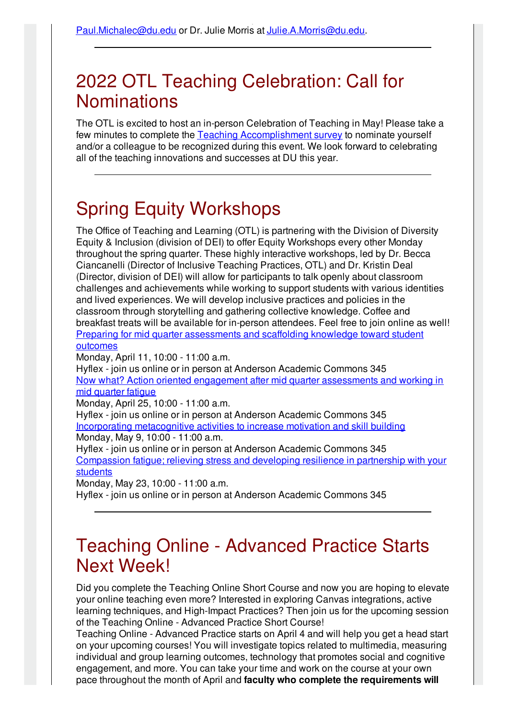## 2022 OTL Teaching Celebration: Call for **Nominations**

The OTL is excited to host an in-person Celebration of Teaching in May! Please take a few minutes to complete the Teaching [Accomplishment](https://udenver.qualtrics.com/jfe/form/SV_5vVYJLMBIy9FppI) survey to nominate yourself and/or a colleague to be recognized during this event. We look forward to celebrating all of the teaching innovations and successes at DU this year.

## Spring Equity Workshops

The Office of Teaching and Learning (OTL) is partnering with the Division of Diversity Equity & Inclusion (division of DEI) to offer Equity Workshops every other Monday throughout the spring quarter. These highly interactive workshops, led by Dr. Becca Ciancanelli (Director of Inclusive Teaching Practices, OTL) and Dr. Kristin Deal (Director, division of DEI) will allow for participants to talk openly about classroom challenges and achievements while working to support students with various identities and lived experiences. We will develop inclusive practices and policies in the classroom through storytelling and gathering collective knowledge. Coffee and breakfast treats will be available for in-person attendees. Feel free to join online as well! Preparing for mid quarter [assessments](https://otl-events.du.edu/public/registration/5819) and scaffolding knowledge toward student **outcomes** 

Monday, April 11, 10:00 - 11:00 a.m.

Hyflex - join us online or in person at Anderson Academic Commons 345 Now what? Action oriented engagement after mid quarter [assessments](https://otl-events.du.edu/public/registration/5820) and working in mid quarter fatigue

Monday, April 25, 10:00 - 11:00 a.m.

Hyflex - join us online or in person at Anderson Academic Commons 345 Incorporating [metacognitive](https://otl-events.du.edu/public/registration/5821) activities to increase motivation and skill building Monday, May 9, 10:00 - 11:00 a.m.

Hyflex - join us online or in person at Anderson Academic Commons 345 [Compassion](https://otl-events.du.edu/public/registration/5822) fatigue; relieving stress and developing resilience in partnership with your **students** 

Monday, May 23, 10:00 - 11:00 a.m. Hyflex - join us online or in person at Anderson Academic Commons 345

### Teaching Online - Advanced Practice Starts Next Week!

Did you complete the Teaching Online Short Course and now you are hoping to elevate your online teaching even more? Interested in exploring Canvas integrations, active learning techniques, and High-Impact Practices? Then join us for the upcoming session of the Teaching Online - Advanced Practice Short Course!

Teaching Online - Advanced Practice starts on April 4 and will help you get a head start on your upcoming courses! You will investigate topics related to multimedia, measuring individual and group learning outcomes, technology that promotes social and cognitive engagement, and more. You can take your time and work on the course at your own pace throughout the month of April and **faculty who complete the requirements will**